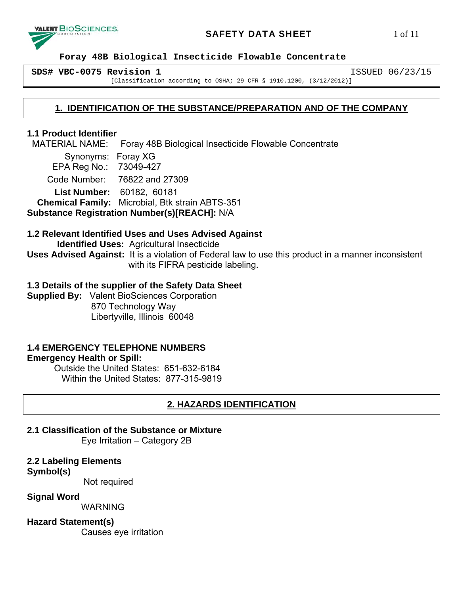

# **SAFETY DATA SHEET** 1 of 11

 **Foray 48B Biological Insecticide Flowable Concentrate** 

**SDS# VBC-0075 Revision 1** ISSUED 06/23/15

[Classification according to OSHA; 29 CFR § 1910.1200, (3/12/2012)]

# **1. IDENTIFICATION OF THE SUBSTANCE/PREPARATION AND OF THE COMPANY**

# **1.1 Product Identifier**

MATERIAL NAME: Foray 48B Biological Insecticide Flowable Concentrate

 Synonyms: Foray XG EPA Reg No.: 73049-427 Code Number: 76822 and 27309

 **List Number:** 60182, 60181  **Chemical Family:** Microbial, Btk strain ABTS-351

**Substance Registration Number(s)[REACH]:** N/A

# **1.2 Relevant Identified Uses and Uses Advised Against**

 **Identified Uses:** Agricultural Insecticide

**Uses Advised Against:** It is a violation of Federal law to use this product in a manner inconsistent with its FIFRA pesticide labeling.

# **1.3 Details of the supplier of the Safety Data Sheet**

**Supplied By:** Valent BioSciences Corporation 870 Technology Way Libertyville, Illinois 60048

# **1.4 EMERGENCY TELEPHONE NUMBERS**

## **Emergency Health or Spill:**

Outside the United States: 651-632-6184 Within the United States: 877-315-9819

# **2. HAZARDS IDENTIFICATION**

# **2.1 Classification of the Substance or Mixture**

Eye Irritation – Category 2B

# **2.2 Labeling Elements**

## **Symbol(s)**

Not required

# **Signal Word**

WARNING

# **Hazard Statement(s)**

Causes eye irritation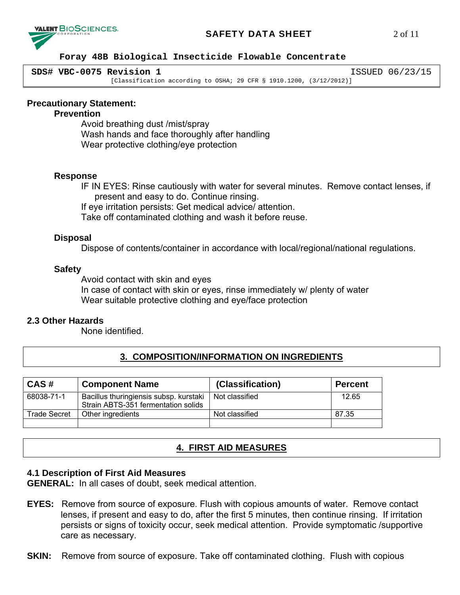# **SAFETY DATA SHEET** 2 of 11



## **Foray 48B Biological Insecticide Flowable Concentrate**

| SDS# VBC-0075 Revision 1                                               | ISSUED 06/23/15 |
|------------------------------------------------------------------------|-----------------|
| [Classification according to OSHA; 29 CFR § 1910.1200, $(3/12/2012)$ ] |                 |

## **Precautionary Statement:**

## **Prevention**

 Avoid breathing dust /mist/spray Wash hands and face thoroughly after handling Wear protective clothing/eye protection

## **Response**

IF IN EYES: Rinse cautiously with water for several minutes. Remove contact lenses, if present and easy to do. Continue rinsing.

If eye irritation persists: Get medical advice/ attention.

Take off contaminated clothing and wash it before reuse.

## **Disposal**

Dispose of contents/container in accordance with local/regional/national regulations.

## **Safety**

Avoid contact with skin and eyes In case of contact with skin or eyes, rinse immediately w/ plenty of water Wear suitable protective clothing and eye/face protection

## **2.3 Other Hazards**

None identified.

# **3. COMPOSITION/INFORMATION ON INGREDIENTS**

| CAS#         | <b>Component Name</b>                                                         | (Classification) | <b>Percent</b> |
|--------------|-------------------------------------------------------------------------------|------------------|----------------|
| 68038-71-1   | Bacillus thuringiensis subsp. kurstaki<br>Strain ABTS-351 fermentation solids | Not classified   | 12.65          |
| Trade Secret | Other ingredients                                                             | Not classified   | 87.35          |
|              |                                                                               |                  |                |

# **4. FIRST AID MEASURES**

## **4.1 Description of First Aid Measures**

**GENERAL:** In all cases of doubt, seek medical attention.

- **EYES:** Remove from source of exposure. Flush with copious amounts of water. Remove contact lenses, if present and easy to do, after the first 5 minutes, then continue rinsing. If irritation persists or signs of toxicity occur, seek medical attention. Provide symptomatic /supportive care as necessary.
- **SKIN:** Remove from source of exposure. Take off contaminated clothing. Flush with copious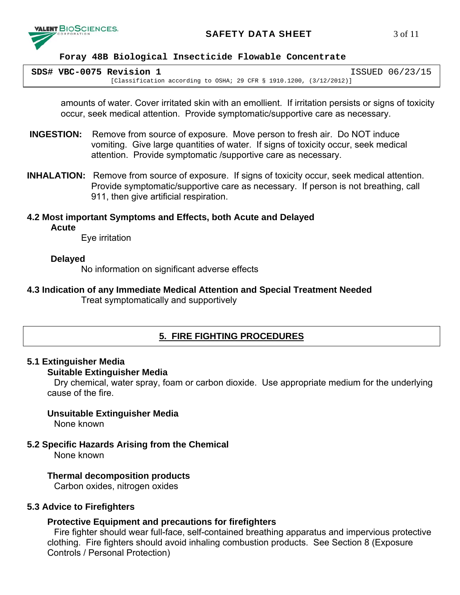

# **SAFETY DATA SHEET** 3 of 11

#### **Foray 48B Biological Insecticide Flowable Concentrate**

| SDS# VBC-0075 Revision 1                                                  | ISSUED 06/23/15 |
|---------------------------------------------------------------------------|-----------------|
| [Classification according to OSHA; 29 CFR $\S$ 1910.1200, $(3/12/2012)$ ] |                 |

amounts of water. Cover irritated skin with an emollient. If irritation persists or signs of toxicity occur, seek medical attention. Provide symptomatic/supportive care as necessary.

- **INGESTION:** Remove from source of exposure. Move person to fresh air. Do NOT induce vomiting. Give large quantities of water. If signs of toxicity occur, seek medical attention. Provide symptomatic /supportive care as necessary.
- **INHALATION:** Remove from source of exposure. If signs of toxicity occur, seek medical attention. Provide symptomatic/supportive care as necessary. If person is not breathing, call 911, then give artificial respiration.
- **4.2 Most important Symptoms and Effects, both Acute and Delayed Acute**

Eye irritation

## **Delayed**

No information on significant adverse effects

**4.3 Indication of any Immediate Medical Attention and Special Treatment Needed** Treat symptomatically and supportively

# **5. FIRE FIGHTING PROCEDURES**

## **5.1 Extinguisher Media**

## **Suitable Extinguisher Media**

Dry chemical, water spray, foam or carbon dioxide. Use appropriate medium for the underlying cause of the fire.

# **Unsuitable Extinguisher Media**

None known

**5.2 Specific Hazards Arising from the Chemical** 

None known

## **Thermal decomposition products**

Carbon oxides, nitrogen oxides

## **5.3 Advice to Firefighters**

## **Protective Equipment and precautions for firefighters**

Fire fighter should wear full-face, self-contained breathing apparatus and impervious protective clothing. Fire fighters should avoid inhaling combustion products. See Section 8 (Exposure Controls / Personal Protection)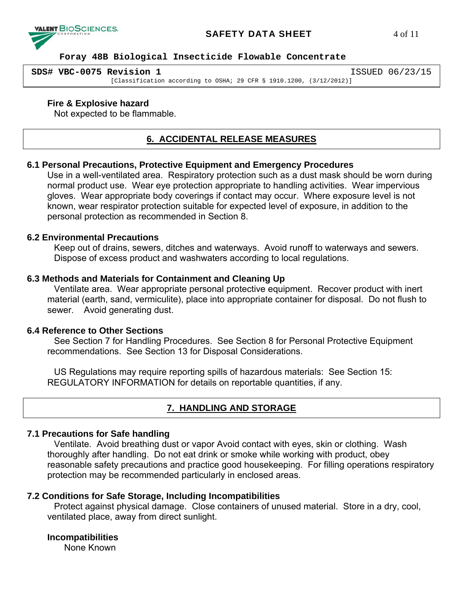# **VALENT BIOSCIENCES.**

# **SAFETY DATA SHEET** 4 of 11

#### **Foray 48B Biological Insecticide Flowable Concentrate**

| SDS# VBC-0075 Revision 1                                               | ISSUED 06/23/15 |
|------------------------------------------------------------------------|-----------------|
| [Classification according to OSHA; 29 CFR $\S$ 1910.1200, (3/12/2012)] |                 |

## **Fire & Explosive hazard**

Not expected to be flammable.

# **6. ACCIDENTAL RELEASE MEASURES**

#### **6.1 Personal Precautions, Protective Equipment and Emergency Procedures**

Use in a well-ventilated area. Respiratory protection such as a dust mask should be worn during normal product use. Wear eye protection appropriate to handling activities. Wear impervious gloves. Wear appropriate body coverings if contact may occur. Where exposure level is not known, wear respirator protection suitable for expected level of exposure, in addition to the personal protection as recommended in Section 8.

# **6.2 Environmental Precautions**

Keep out of drains, sewers, ditches and waterways. Avoid runoff to waterways and sewers. Dispose of excess product and washwaters according to local regulations.

## **6.3 Methods and Materials for Containment and Cleaning Up**

Ventilate area. Wear appropriate personal protective equipment. Recover product with inert material (earth, sand, vermiculite), place into appropriate container for disposal. Do not flush to sewer. Avoid generating dust.

## **6.4 Reference to Other Sections**

See Section 7 for Handling Procedures. See Section 8 for Personal Protective Equipment recommendations. See Section 13 for Disposal Considerations.

US Regulations may require reporting spills of hazardous materials: See Section 15: REGULATORY INFORMATION for details on reportable quantities, if any.

# **7. HANDLING AND STORAGE**

## **7.1 Precautions for Safe handling**

Ventilate. Avoid breathing dust or vapor Avoid contact with eyes, skin or clothing. Wash thoroughly after handling. Do not eat drink or smoke while working with product, obey reasonable safety precautions and practice good housekeeping. For filling operations respiratory protection may be recommended particularly in enclosed areas.

# **7.2 Conditions for Safe Storage, Including Incompatibilities**

Protect against physical damage. Close containers of unused material. Store in a dry, cool, ventilated place, away from direct sunlight.

## **Incompatibilities**

None Known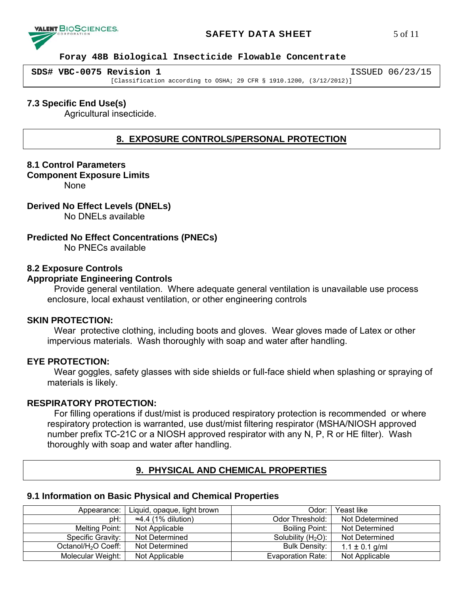# **SAFETY DATA SHEET** 5 of 11



#### **Foray 48B Biological Insecticide Flowable Concentrate**

| SDS# VBC-0075 Revision 1                                               | ISSUED 06/23/15 |
|------------------------------------------------------------------------|-----------------|
| [Classification according to OSHA; 29 CFR $\S$ 1910.1200, (3/12/2012)] |                 |

# **7.3 Specific End Use(s)**

Agricultural insecticide.

# **8. EXPOSURE CONTROLS/PERSONAL PROTECTION**

## **8.1 Control Parameters**

#### **Component Exposure Limits**

None

# **Derived No Effect Levels (DNELs)**

No DNELs available

# **Predicted No Effect Concentrations (PNECs)**

No PNECs available

## **8.2 Exposure Controls**

## **Appropriate Engineering Controls**

Provide general ventilation. Where adequate general ventilation is unavailable use process enclosure, local exhaust ventilation, or other engineering controls

## **SKIN PROTECTION:**

Wear protective clothing, including boots and gloves. Wear gloves made of Latex or other impervious materials. Wash thoroughly with soap and water after handling.

## **EYE PROTECTION:**

Wear goggles, safety glasses with side shields or full-face shield when splashing or spraying of materials is likely.

## **RESPIRATORY PROTECTION:**

For filling operations if dust/mist is produced respiratory protection is recommended or where respiratory protection is warranted, use dust/mist filtering respirator (MSHA/NIOSH approved number prefix TC-21C or a NIOSH approved respirator with any N, P, R or HE filter). Wash thoroughly with soap and water after handling.

# **9. PHYSICAL AND CHEMICAL PROPERTIES**

### **9.1 Information on Basic Physical and Chemical Properties**

| Appearance:                     | Liquid, opaque, light brown | Odor:                | Yeast like         |
|---------------------------------|-----------------------------|----------------------|--------------------|
| pH:                             | $\approx$ 4.4 (1% dilution) | Odor Threshold:      | Not Ddetermined    |
| Melting Point:                  | Not Applicable              | Boiling Point:       | Not Determined     |
| Specific Gravity:               | Not Determined              | Solubility $(H2O)$ : | Not Determined     |
| Octanol/H <sub>2</sub> O Coeff: | Not Determined              | <b>Bulk Density:</b> | $1.1 \pm 0.1$ g/ml |
| Molecular Weight:               | Not Applicable              | Evaporation Rate:    | Not Applicable     |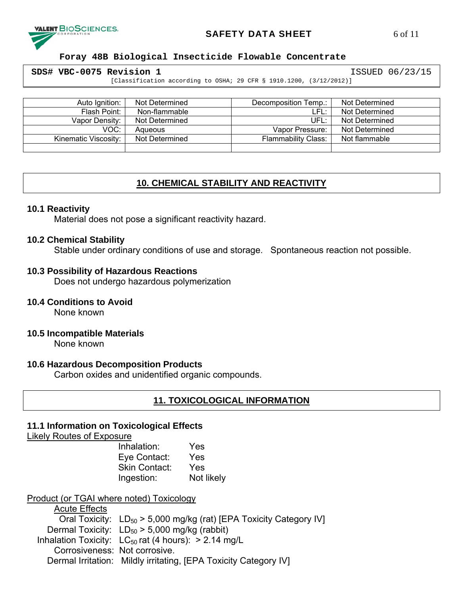

# **SAFETY DATA SHEET** 6 of 11

#### **Foray 48B Biological Insecticide Flowable Concentrate**

| SDS# VBC-0075 Revision 1                                               | ISSUED 06/23/15 |
|------------------------------------------------------------------------|-----------------|
| [Classification according to OSHA; 29 CFR $\S$ 1910.1200, (3/12/2012)] |                 |

| Auto Ignition:       | Not Determined | Decomposition Temp.:       | Not Determined |
|----------------------|----------------|----------------------------|----------------|
| Flash Point:         | Non-flammable  | LFL:                       | Not Determined |
| Vapor Density:       | Not Determined | UFL:                       | Not Determined |
| VOC:                 | Aqueous        | Vapor Pressure:            | Not Determined |
| Kinematic Viscosity: | Not Determined | <b>Flammability Class:</b> | Not flammable  |
|                      |                |                            |                |

# **10. CHEMICAL STABILITY AND REACTIVITY**

#### **10.1 Reactivity**

Material does not pose a significant reactivity hazard.

#### **10.2 Chemical Stability**

Stable under ordinary conditions of use and storage. Spontaneous reaction not possible.

#### **10.3 Possibility of Hazardous Reactions**

Does not undergo hazardous polymerization

## **10.4 Conditions to Avoid**

None known

**10.5 Incompatible Materials** 

None known

## **10.6 Hazardous Decomposition Products**

Carbon oxides and unidentified organic compounds.

## **11. TOXICOLOGICAL INFORMATION**

## **11.1 Information on Toxicological Effects**

Likely Routes of Exposure

Inhalation: Yes Eye Contact: Yes Skin Contact: Yes Ingestion: Not likely

## Product (or TGAI where noted) Toxicology

Acute Effects Oral Toxicity:  $LD_{50} > 5,000$  mg/kg (rat) [EPA Toxicity Category IV] Dermal Toxicity:  $LD_{50} > 5,000$  mg/kg (rabbit) Inhalation Toxicity:  $LC_{50}$  rat (4 hours): > 2.14 mg/L Corrosiveness: Not corrosive. Dermal Irritation: Mildly irritating, [EPA Toxicity Category IV]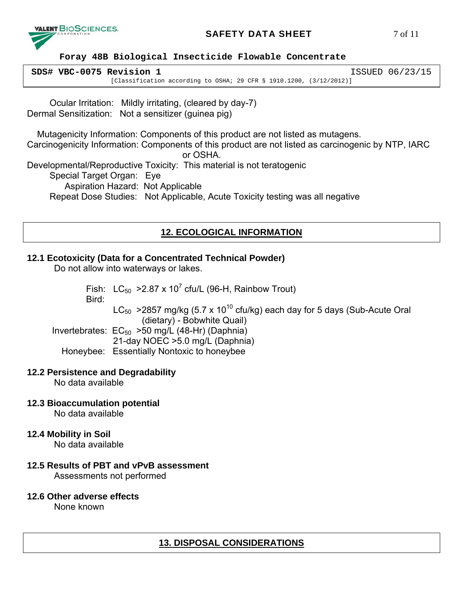

# **SAFETY DATA SHEET** 7 of 11

#### **Foray 48B Biological Insecticide Flowable Concentrate**

| SDS# VBC-0075 Revision 1                                               | ISSUED 06/23/15 |
|------------------------------------------------------------------------|-----------------|
| [Classification according to OSHA; 29 CFR $\S$ 1910.1200, (3/12/2012)] |                 |

 Ocular Irritation: Mildly irritating, (cleared by day-7) Dermal Sensitization: Not a sensitizer (guinea pig)

 Mutagenicity Information: Components of this product are not listed as mutagens. Carcinogenicity Information: Components of this product are not listed as carcinogenic by NTP, IARC or OSHA. Developmental/Reproductive Toxicity: This material is not teratogenic Special Target Organ: Eye Aspiration Hazard: Not Applicable Repeat Dose Studies: Not Applicable, Acute Toxicity testing was all negative

# **12. ECOLOGICAL INFORMATION**

# **12.1 Ecotoxicity (Data for a Concentrated Technical Powder)**

Do not allow into waterways or lakes.

Fish:  $LC_{50}$  >2.87 x 10<sup>7</sup> cfu/L (96-H, Rainbow Trout)

Bird:

 $LC_{50}$  >2857 mg/kg (5.7 x 10<sup>10</sup> cfu/kg) each day for 5 days (Sub-Acute Oral (dietary) - Bobwhite Quail)

Invertebrates:  $EC_{50}$  >50 mg/L (48-Hr) (Daphnia) 21-day NOEC >5.0 mg/L (Daphnia) Honeybee: Essentially Nontoxic to honeybee

# **12.2 Persistence and Degradability**

No data available

**12.3 Bioaccumulation potential** 

No data available

**12.4 Mobility in Soil** 

No data available

**12.5 Results of PBT and vPvB assessment** 

Assessments not performed

## **12.6 Other adverse effects**

None known

# **13. DISPOSAL CONSIDERATIONS**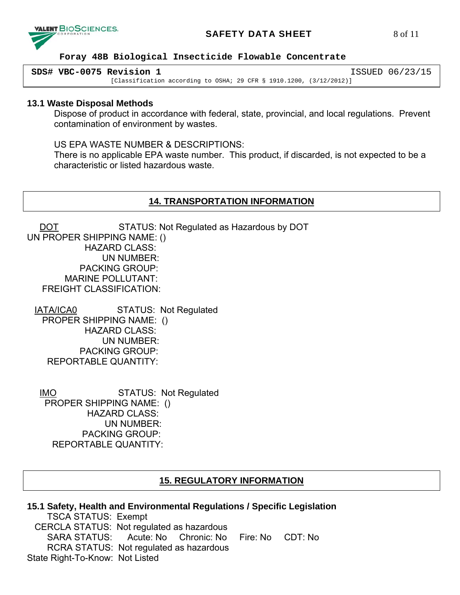

# **SAFETY DATA SHEET** 8 of 11

## **Foray 48B Biological Insecticide Flowable Concentrate**

| SDS# VBC-0075 Revision 1                                                  | ISSUED 06/23/15 |
|---------------------------------------------------------------------------|-----------------|
| [Classification according to OSHA; 29 CFR $\S$ 1910.1200, $(3/12/2012)$ ] |                 |

## **13.1 Waste Disposal Methods**

Dispose of product in accordance with federal, state, provincial, and local regulations. Prevent contamination of environment by wastes.

US EPA WASTE NUMBER & DESCRIPTIONS:

There is no applicable EPA waste number. This product, if discarded, is not expected to be a characteristic or listed hazardous waste.

# **14. TRANSPORTATION INFORMATION**

DOT STATUS: Not Regulated as Hazardous by DOT UN PROPER SHIPPING NAME: () HAZARD CLASS: UN NUMBER: PACKING GROUP: MARINE POLLUTANT: FREIGHT CLASSIFICATION:

 IATA/ICA0 STATUS: Not Regulated PROPER SHIPPING NAME: () HAZARD CLASS: UN NUMBER: PACKING GROUP: REPORTABLE QUANTITY:

 IMO STATUS: Not Regulated PROPER SHIPPING NAME: () HAZARD CLASS: UN NUMBER: PACKING GROUP: REPORTABLE QUANTITY:

# **15. REGULATORY INFORMATION**

| 15.1 Safety, Health and Environmental Regulations / Specific Legislation |  |  |  |  |
|--------------------------------------------------------------------------|--|--|--|--|
| <b>TSCA STATUS: Exempt</b>                                               |  |  |  |  |
| CERCLA STATUS: Not regulated as hazardous                                |  |  |  |  |
| SARA STATUS: Acute: No Chronic: No Fire: No CDT: No                      |  |  |  |  |
| RCRA STATUS: Not regulated as hazardous                                  |  |  |  |  |
| State Right-To-Know: Not Listed                                          |  |  |  |  |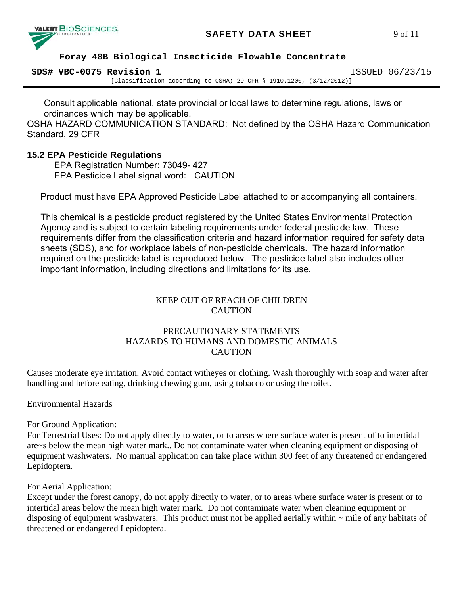

# **SAFETY DATA SHEET** 9 of 11

#### **Foray 48B Biological Insecticide Flowable Concentrate**

| SDS# VBC-0075 Revision 1                                               | ISSUED 06/23/15 |
|------------------------------------------------------------------------|-----------------|
| [Classification according to OSHA; 29 CFR $\S$ 1910.1200, (3/12/2012)] |                 |

Consult applicable national, state provincial or local laws to determine regulations, laws or ordinances which may be applicable.

OSHA HAZARD COMMUNICATION STANDARD: Not defined by the OSHA Hazard Communication Standard, 29 CFR

# **15.2 EPA Pesticide Regulations**

 EPA Registration Number: 73049- 427 EPA Pesticide Label signal word: CAUTION

Product must have EPA Approved Pesticide Label attached to or accompanying all containers.

This chemical is a pesticide product registered by the United States Environmental Protection Agency and is subject to certain labeling requirements under federal pesticide law. These requirements differ from the classification criteria and hazard information required for safety data sheets (SDS), and for workplace labels of non-pesticide chemicals. The hazard information required on the pesticide label is reproduced below. The pesticide label also includes other important information, including directions and limitations for its use.

# KEEP OUT OF REACH OF CHILDREN **CAUTION**

# PRECAUTIONARY STATEMENTS HAZARDS TO HUMANS AND DOMESTIC ANIMALS CAUTION

Causes moderate eye irritation. Avoid contact witheyes or clothing. Wash thoroughly with soap and water after handling and before eating, drinking chewing gum, using tobacco or using the toilet.

Environmental Hazards

For Ground Application:

For Terrestrial Uses: Do not apply directly to water, or to areas where surface water is present of to intertidal are~s below the mean high water mark.. Do not contaminate water when cleaning equipment or disposing of equipment washwaters. No manual application can take place within 300 feet of any threatened or endangered Lepidoptera.

For Aerial Application:

Except under the forest canopy, do not apply directly to water, or to areas where surface water is present or to intertidal areas below the mean high water mark. Do not contaminate water when cleaning equipment or disposing of equipment washwaters. This product must not be applied aerially within  $\sim$  mile of any habitats of threatened or endangered Lepidoptera.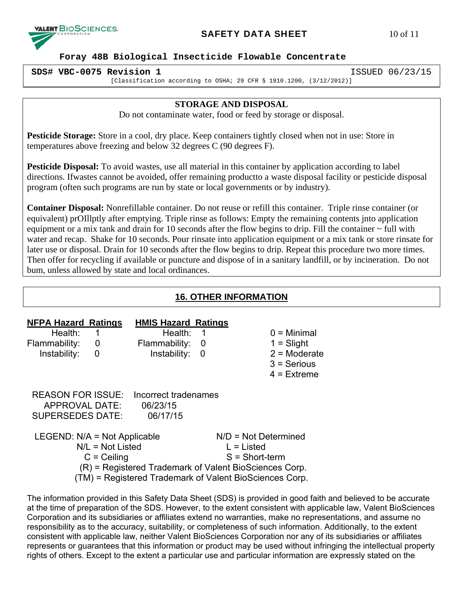

# **SAFETY DATA SHEET** 10 of 11

 **Foray 48B Biological Insecticide Flowable Concentrate** 

**SDS# VBC-0075 Revision 1** ISSUED 06/23/15 [Classification according to OSHA; 29 CFR § 1910.1200, (3/12/2012)]

# **STORAGE AND DISPOSAL**

Do not contaminate water, food or feed by storage or disposal.

**Pesticide Storage:** Store in a cool, dry place. Keep containers tightly closed when not in use: Store in temperatures above freezing and below 32 degrees C (90 degrees F).

**Pesticide Disposal:** To avoid wastes, use all material in this container by application according to label directions. Ifwastes cannot be avoided, offer remaining productto a waste disposal facility or pesticide disposal program (often such programs are run by state or local governments or by industry).

**Container Disposal:** Nonrefillable container. Do not reuse or refill this container. Triple rinse container (or equivalent) prOIllptly after emptying. Triple rinse as follows: Empty the remaining contents jnto application equipment or a mix tank and drain for 10 seconds after the flow begins to drip. Fill the container ~ full with water and recap. Shake for 10 seconds. Pour rinsate into application equipment or a mix tank or store rinsate for later use or disposal. Drain for 10 seconds after the flow begins to drip. Repeat this procedure two more times. Then offer for recycling if available or puncture and dispose of in a sanitary landfill, or by incineration. Do not bum, unless allowed by state and local ordinances.

# **16. OTHER INFORMATION**

| <b>NFPA Hazard Ratings</b><br>Health:<br>Flammability:<br>Instability:                                                                                                                     | 1<br>$\overline{\mathbf{0}}$<br>0 | <b>HMIS Hazard Ratings</b><br>Health:<br>Flammability:<br>Instability: | 1<br>-0<br>0                                               | $0 =$ Minimal<br>$1 =$ Slight<br>$2$ = Moderate<br>$3$ = Serious<br>$4$ = Extreme |
|--------------------------------------------------------------------------------------------------------------------------------------------------------------------------------------------|-----------------------------------|------------------------------------------------------------------------|------------------------------------------------------------|-----------------------------------------------------------------------------------|
| APPROVAL DATE:<br><b>SUPERSEDES DATE:</b>                                                                                                                                                  |                                   | <b>REASON FOR ISSUE:</b> Incorrect tradenames<br>06/23/15<br>06/17/15  |                                                            |                                                                                   |
| LEGEND: $N/A$ = Not Applicable<br>$N/L = Not$ Listed<br>$C =$ Ceiling<br>(R) = Registered Trademark of Valent BioSciences Corp.<br>(TM) = Registered Trademark of Valent BioSciences Corp. |                                   |                                                                        | $N/D = Not Determined$<br>$L =$ Listed<br>$S = Short-term$ |                                                                                   |

The information provided in this Safety Data Sheet (SDS) is provided in good faith and believed to be accurate at the time of preparation of the SDS. However, to the extent consistent with applicable law, Valent BioSciences Corporation and its subsidiaries or affiliates extend no warranties, make no representations, and assume no responsibility as to the accuracy, suitability, or completeness of such information. Additionally, to the extent consistent with applicable law, neither Valent BioSciences Corporation nor any of its subsidiaries or affiliates represents or guarantees that this information or product may be used without infringing the intellectual property rights of others. Except to the extent a particular use and particular information are expressly stated on the